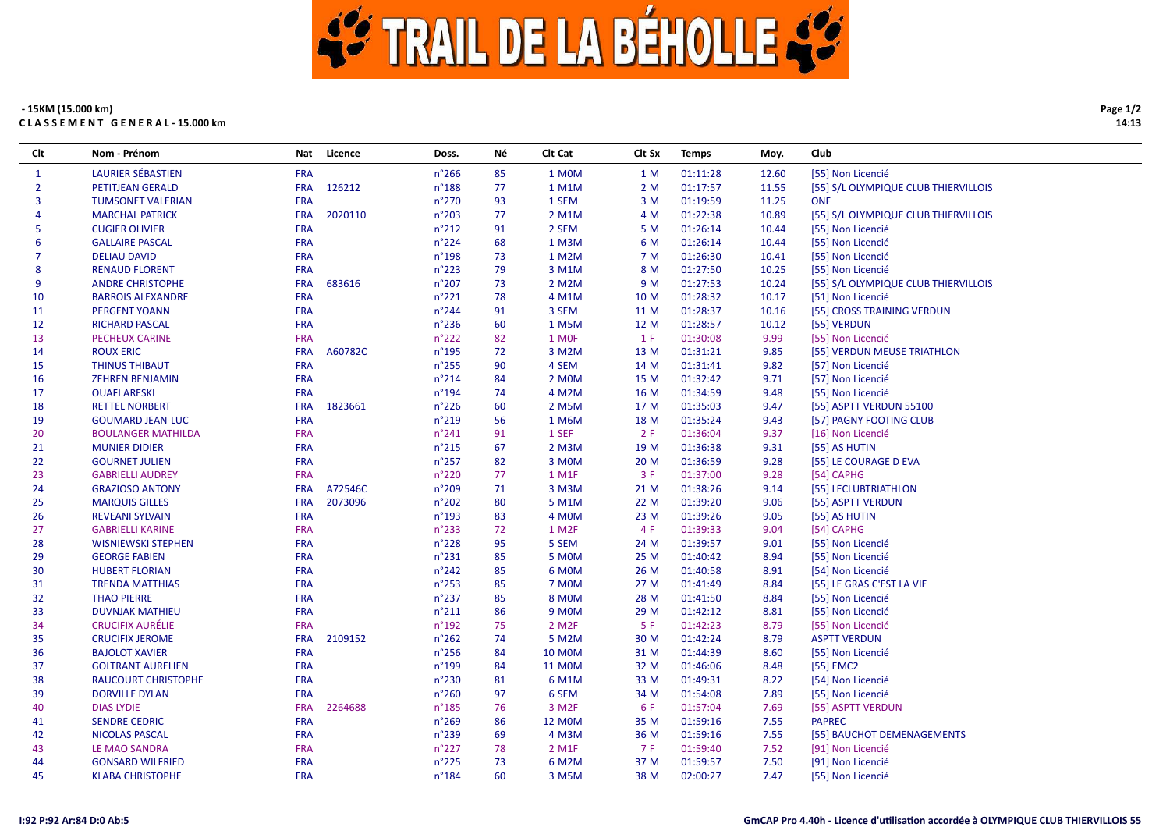

## - 15KM (15.000 km) CLASSEMENT GENERAL-15.000 km

| Clt            | Nom - Prénom               | Nat        | Licence | Doss.           | Νé | Clt Cat            | Clt Sx | <b>Temps</b> | Moy.  | Club                                 |
|----------------|----------------------------|------------|---------|-----------------|----|--------------------|--------|--------------|-------|--------------------------------------|
| 1              | <b>LAURIER SÉBASTIEN</b>   | <b>FRA</b> |         | $n^{\circ}266$  | 85 | 1 MOM              | 1 M    | 01:11:28     | 12.60 | [55] Non Licencié                    |
| $\overline{2}$ | <b>PETITJEAN GERALD</b>    | <b>FRA</b> | 126212  | $n^{\circ}188$  | 77 | 1 M1M              | 2 M    | 01:17:57     | 11.55 | [55] S/L OLYMPIQUE CLUB THIERVILLOIS |
| 3              | <b>TUMSONET VALERIAN</b>   | <b>FRA</b> |         | $n^{\circ}270$  | 93 | 1 SEM              | 3 M    | 01:19:59     | 11.25 | <b>ONF</b>                           |
| 4              | <b>MARCHAL PATRICK</b>     | <b>FRA</b> | 2020110 | n°203           | 77 | 2 M1M              | 4 M    | 01:22:38     | 10.89 | [55] S/L OLYMPIQUE CLUB THIERVILLOIS |
| 5              | <b>CUGIER OLIVIER</b>      | <b>FRA</b> |         | $n^{\circ}212$  | 91 | 2 SEM              | 5 M    | 01:26:14     | 10.44 | [55] Non Licencié                    |
| 6              | <b>GALLAIRE PASCAL</b>     | <b>FRA</b> |         | $n^{\circ}$ 224 | 68 | 1 M3M              | 6 M    | 01:26:14     | 10.44 | [55] Non Licencié                    |
| 7              | <b>DELIAU DAVID</b>        | <b>FRA</b> |         | $n^{\circ}$ 198 | 73 | 1 M2M              | 7 M    | 01:26:30     | 10.41 | [55] Non Licencié                    |
| 8              | <b>RENAUD FLORENT</b>      | <b>FRA</b> |         | $n^{\circ}223$  | 79 | 3 M1M              | 8 M    | 01:27:50     | 10.25 | [55] Non Licencié                    |
| 9              | <b>ANDRE CHRISTOPHE</b>    | <b>FRA</b> | 683616  | $n^{\circ}207$  | 73 | 2 M2M              | 9 M    | 01:27:53     | 10.24 | [55] S/L OLYMPIQUE CLUB THIERVILLOIS |
| 10             | <b>BARROIS ALEXANDRE</b>   | FRA        |         | $n^{\circ}221$  | 78 | 4 M1M              | 10 M   | 01:28:32     | 10.17 | [51] Non Licencié                    |
| 11             | <b>PERGENT YOANN</b>       | <b>FRA</b> |         | $n^{\circ}$ 244 | 91 | 3 SEM              | 11 M   | 01:28:37     | 10.16 | [55] CROSS TRAINING VERDUN           |
| 12             | <b>RICHARD PASCAL</b>      | <b>FRA</b> |         | $n^{\circ}$ 236 | 60 | 1 M5M              | 12 M   | 01:28:57     | 10.12 | [55] VERDUN                          |
| 13             | <b>PECHEUX CARINE</b>      | <b>FRA</b> |         | $n^{\circ}222$  | 82 | 1 MOF              | 1 F    | 01:30:08     | 9.99  | [55] Non Licencié                    |
| 14             | <b>ROUX ERIC</b>           | <b>FRA</b> | A60782C | $n^{\circ}$ 195 | 72 | 3 M2M              | 13 M   | 01:31:21     | 9.85  | [55] VERDUN MEUSE TRIATHLON          |
| 15             | <b>THINUS THIBAUT</b>      | <b>FRA</b> |         | $n^{\circ}255$  | 90 | 4 SEM              | 14 M   | 01:31:41     | 9.82  | [57] Non Licencié                    |
| 16             | <b>ZEHREN BENJAMIN</b>     | <b>FRA</b> |         | $n^{\circ}214$  | 84 | 2 MOM              | 15 M   | 01:32:42     | 9.71  | [57] Non Licencié                    |
| 17             | <b>OUAFI ARESKI</b>        | <b>FRA</b> |         | $n^{\circ}$ 194 | 74 | 4 M2M              | 16 M   | 01:34:59     | 9.48  | [55] Non Licencié                    |
| 18             | <b>RETTEL NORBERT</b>      | <b>FRA</b> | 1823661 | $n^{\circ}226$  | 60 | 2 M5M              | 17 M   | 01:35:03     | 9.47  | [55] ASPTT VERDUN 55100              |
| 19             | <b>GOUMARD JEAN-LUC</b>    | <b>FRA</b> |         | n°219           | 56 | 1 M6M              | 18 M   | 01:35:24     | 9.43  | [57] PAGNY FOOTING CLUB              |
| 20             | <b>BOULANGER MATHILDA</b>  | <b>FRA</b> |         | $n^{\circ}241$  | 91 | 1 SEF              | 2F     | 01:36:04     | 9.37  | [16] Non Licencié                    |
| 21             | <b>MUNIER DIDIER</b>       | <b>FRA</b> |         | $n^{\circ}215$  | 67 | 2 M3M              | 19 M   | 01:36:38     | 9.31  | [55] AS HUTIN                        |
| 22             | <b>GOURNET JULIEN</b>      | <b>FRA</b> |         | $n^{\circ}257$  | 82 | 3 MOM              | 20 M   | 01:36:59     | 9.28  | [55] LE COURAGE D EVA                |
| 23             | <b>GABRIELLI AUDREY</b>    | <b>FRA</b> |         | $n^{\circ}220$  | 77 | 1 M1F              | 3F     | 01:37:00     | 9.28  | [54] CAPHG                           |
| 24             | <b>GRAZIOSO ANTONY</b>     | <b>FRA</b> | A72546C | n°209           | 71 | 3 M3M              | 21 M   | 01:38:26     | 9.14  | [55] LECLUBTRIATHLON                 |
| 25             | <b>MARQUIS GILLES</b>      | <b>FRA</b> | 2073096 | n°202           | 80 | 5 M1M              | 22 M   | 01:39:20     | 9.06  | [55] ASPTT VERDUN                    |
| 26             | <b>REVEANI SYLVAIN</b>     | <b>FRA</b> |         | $n^{\circ}$ 193 | 83 | 4 MOM              | 23 M   | 01:39:26     | 9.05  | [55] AS HUTIN                        |
| 27             | <b>GABRIELLI KARINE</b>    | <b>FRA</b> |         | $n^{\circ}233$  | 72 | 1 M2F              | 4 F    | 01:39:33     | 9.04  | [54] CAPHG                           |
| 28             | <b>WISNIEWSKI STEPHEN</b>  | <b>FRA</b> |         | $n^{\circ}228$  | 95 | 5 SEM              | 24 M   | 01:39:57     | 9.01  | [55] Non Licencié                    |
| 29             | <b>GEORGE FABIEN</b>       | <b>FRA</b> |         | $n^{\circ}231$  | 85 | 5 MOM              | 25 M   | 01:40:42     | 8.94  | [55] Non Licencié                    |
| 30             | <b>HUBERT FLORIAN</b>      | <b>FRA</b> |         | $n^{\circ}242$  | 85 | 6 MOM              | 26 M   | 01:40:58     | 8.91  | [54] Non Licencié                    |
| 31             | <b>TRENDA MATTHIAS</b>     | <b>FRA</b> |         | $n^{\circ}253$  | 85 | 7 MOM              | 27 M   | 01:41:49     | 8.84  | [55] LE GRAS C'EST LA VIE            |
| 32             | <b>THAO PIERRE</b>         | <b>FRA</b> |         | $n^{\circ}237$  | 85 | <b>8 MOM</b>       | 28 M   | 01:41:50     | 8.84  | [55] Non Licencié                    |
| 33             | <b>DUVNJAK MATHIEU</b>     | <b>FRA</b> |         | $n^{\circ}211$  | 86 | 9 M <sub>O</sub> M | 29 M   | 01:42:12     | 8.81  | [55] Non Licencié                    |
| 34             | <b>CRUCIFIX AURÉLIE</b>    | <b>FRA</b> |         | $n^{\circ}$ 192 | 75 | 2 M2F              | 5 F    | 01:42:23     | 8.79  | [55] Non Licencié                    |
| 35             | <b>CRUCIFIX JEROME</b>     | <b>FRA</b> | 2109152 | $n^{\circ}262$  | 74 | 5 M2M              | 30 M   | 01:42:24     | 8.79  | <b>ASPTT VERDUN</b>                  |
| 36             | <b>BAJOLOT XAVIER</b>      | <b>FRA</b> |         | $n^{\circ}256$  | 84 | <b>10 MOM</b>      | 31 M   | 01:44:39     | 8.60  | [55] Non Licencié                    |
| 37             | <b>GOLTRANT AURELIEN</b>   | <b>FRA</b> |         | n°199           | 84 | <b>11 MOM</b>      | 32 M   | 01:46:06     | 8.48  | [55] EMC2                            |
| 38             | <b>RAUCOURT CHRISTOPHE</b> | <b>FRA</b> |         | n°230           | 81 | 6 M1M              | 33 M   | 01:49:31     | 8.22  | [54] Non Licencié                    |
| 39             | <b>DORVILLE DYLAN</b>      | <b>FRA</b> |         | $n^{\circ}260$  | 97 | 6 SEM              | 34 M   | 01:54:08     | 7.89  | [55] Non Licencié                    |
| 40             | <b>DIAS LYDIE</b>          | <b>FRA</b> | 2264688 | $n^{\circ}$ 185 | 76 | 3 M2F              | 6 F    | 01:57:04     | 7.69  | [55] ASPTT VERDUN                    |
| 41             | <b>SENDRE CEDRIC</b>       | <b>FRA</b> |         | $n^{\circ}269$  | 86 | <b>12 MOM</b>      | 35 M   | 01:59:16     | 7.55  | <b>PAPREC</b>                        |
| 42             | <b>NICOLAS PASCAL</b>      | <b>FRA</b> |         | n°239           | 69 | 4 M3M              | 36 M   | 01:59:16     | 7.55  | [55] BAUCHOT DEMENAGEMENTS           |
| 43             | LE MAO SANDRA              | <b>FRA</b> |         | $n^{\circ}227$  | 78 | 2 M <sub>1</sub> F | 7 F    | 01:59:40     | 7.52  | [91] Non Licencié                    |
| 44             | <b>GONSARD WILFRIED</b>    | <b>FRA</b> |         | $n^{\circ}225$  | 73 | 6 M2M              | 37 M   | 01:59:57     | 7.50  | [91] Non Licencié                    |
| 45             | <b>KLABA CHRISTOPHE</b>    | <b>FRA</b> |         | $n^{\circ}$ 184 | 60 | 3 M5M              | 38 M   | 02:00:27     | 7.47  | [55] Non Licencié                    |

Page 1/2

14:13